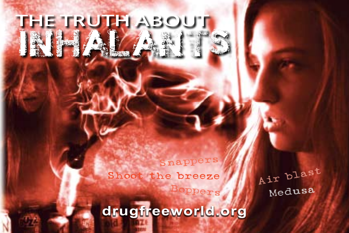

the truth about

INHALANTS

Air blas<sup>t</sup> Boppers Medusa

**drugfreeworld.org**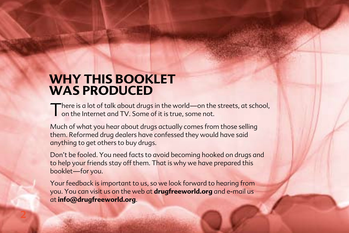### **WHY THIS BOOKLET WAS PRODUCED**

**2**

There is a lot of talk about drugs in the world—on the streets, at school, on the Internet and TV. Some of it is true, some not.

Much of what you hear about drugs actually comes from those selling them. Reformed drug dealers have confessed they would have said anything to get others to buy drugs.

Don't be fooled. You need facts to avoid becoming hooked on drugs and to help your friends stay off them. That is why we have prepared this booklet—for you.

Your feedback is important to us, so we look forward to hearing from you. You can visit us on the web at **drugfreeworld.org** and e‑mail us at **info@drugfreeworld.org**.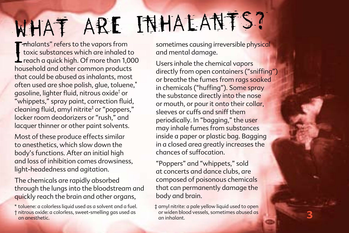# WHAT ARE INHALANTS?

Thinalants" refers to the vapors from<br>toxic substances which are inhaled to<br>reach a quick high. Of more than 1,000<br>bousehold and other common products **E**mhalants" refers to the vapors from toxic substances which are inhaled to household and other common products that could be abused as inhalants, most often used are shoe polish, glue, toluene,\* gasoline, lighter fluid, nitrous oxide† or "whippets," spray paint, correction fluid, cleaning fluid, amyl nitrite‡ or "poppers," locker room deodorizers or "rush," and lacquer thinner or other paint solvents.

Most of these produce effects similar to anesthetics, which slow down the body's functions. After an initial high and loss of inhibition comes drowsiness, light‑headedness and agitation.

The chemicals are rapidly absorbed through the lungs into the bloodstream and quickly reach the brain and other organs,

sometimes causing irreversible physical and mental damage.

Users inhale the chemical vapors directly from open containers ("sniffing") or breathe the fumes from rags soaked in chemicals ("huffing"). Some spray the substance directly into the nose or mouth, or pour it onto their collar, sleeves or cuffs and sniff them periodically. In "bagging," the user may inhale fumes from substances inside a paper or plastic bag. Bagging in a closed area greatly increases the chances of suffocation.

"Poppers" and "whippets," sold at concerts and dance clubs, are composed of poisonous chemicals that can permanently damage the body and brain.

‡ amyl nitrite: a pale yellow liquid used to open or widen blood vessels, sometimes abused as an inhalant.

<sup>\*</sup> toluene: a colorless liquid used as a solvent and a fuel. † nitrous oxide: a colorless, sweet‑smelling gas used as an anesthetic.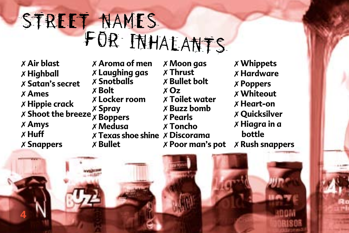# STREET NAMES<br>FOR INHALANTS

 **Air blast Highball Satan's secret Ames Hippie crack Shoot the breeze** 7 **Spray Amys Huff Snappers**

 **Aroma of men Laughing gas Snotballs Bolt Locker room Boppers Medusa Texas shoe shine** 7 **Discorama Bullet**

 **Moon gas Thrust Bullet bolt Oz Toilet water Buzz bomb Pearls Toncho Poor man's pot**  **Whippets Hardware Poppers Whiteout Heart‑on Quicksilver Hiagra in a bottle Rush snappers**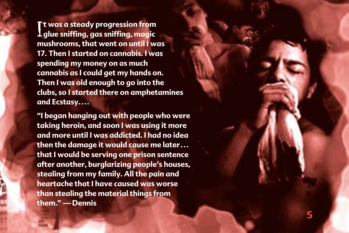I **glue sniffing, gas sniffing, magic t was a steady progression from mushrooms, that went on until I was 17. Then I started on cannabis. I was spending my money on as much cannabis as I could get my hands on. Then I was old enough to go into the clubs, so I started there on amphetamines and Ecstasy. . . .**

**"I began hanging out with people who were taking heroin, and soon I was using it more and more until I was addicted. I had no idea then the damage it would cause me later . . . that I would be serving one prison sentence after another, burglarizing people's houses, stealing from my family. All the pain and heartache that I have caused was worse than stealing the material things from them." —Dennis**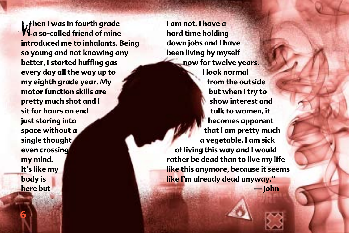W**hen I was in fourth grade a so‑called friend of mine introduced me to inhalants. Being so young and not knowing any better, I started huffing gas every day all the way up to my eighth grade year. My motor function skills are pretty much shot and I sit for hours on end just staring into space without a single thought even crossing my mind. It's like my body is here but** 

**6**

**I am not. I have a hard time holding down jobs and I have been living by myself now for twelve years. I look normal from the outside but when I try to show interest and talk to women, it becomes apparent that I am pretty much a vegetable. I am sick of living this way and I would rather be dead than to live my life like this anymore, because it seems like I'm already dead anyway." —John**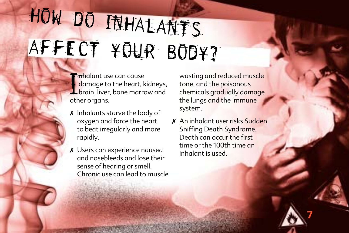# affect your body? how do inhalants

- **Thindiant use can cause**<br>damage to the heart, kidneys,<br>brain, liver, bone marrow and<br>other organs **E**mhalant use can cause damage to the heart, kidneys, other organs.
- $x$  Inhalants starve the body of oxygen and force the heart to beat irregularly and more rapidly.
- 7 Users can experience nausea and nosebleeds and lose their sense of hearing or smell. Chronic use can lead to muscle

wasting and reduced muscle tone, and the poisonous chemicals gradually damage the lungs and the immune system.

7 An inhalant user risks Sudden Sniffing Death Syndrome. Death can occur the first time or the 100th time an inhalant is used.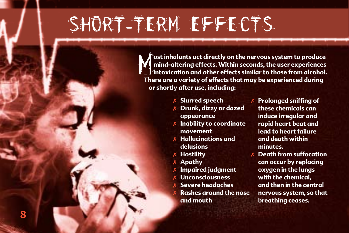### short**-**term effects

**The View Englisher Action System to produce**<br> **There are a variety of effects. Within seconds, the user experiences**<br>
There are a variety of effects that may be experienced during **ost inhalants act directly on the nervous system to produce mind‑altering effects. Within seconds, the user experiences intoxication and other effects similar to those from alcohol. or shortly after use, including:**

- 7 **Slurred speech**
- 7 **Drunk, dizzy or dazed appearance**
- **Inability to coordinate movement**
- 7 **Hallucinations and delusions**
- 7 **Hostility**
- 7 **Apathy**
- 7 **Impaired judgment**
- 7 **Unconsciousness**
- 7 **Severe headaches**
- 7 **Rashes around the nose and mouth**
- 7 **Prolonged sniffing of these chemicals can induce irregular and rapid heart beat and lead to heart failure and death within minutes.**
- **Death from suffocation can occur by replacing oxygen in the lungs with the chemical, and then in the central nervous system, so that breathing ceases.**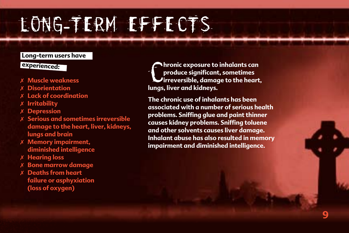### long**-**term effects

#### **Long‑term users have**

#### **experienced:**

- 7 **Muscle weakness**
- 7 **Disorientation**
- **Lack of coordination**
- 7 **Irritability**
- 7 **Depression**
- 7 **Serious and sometimes irreversible damage to the heart, liver, kidneys, lungs and brain**
- 7 **Memory impairment, diminished intelligence**
- 7 **Hearing loss**
- 7 **Bone marrow damage**
- 7 **Deaths from heart failure or asphyxiation (loss of oxygen)**

**C**hronic exposure to<br>produce significant<br>lungs, liver and kidneys. **hronic exposure to inhalants can produce significant, sometimes U**irreversible, damage to the heart,

**The chronic use of inhalants has been associated with a number of serious health problems. Sniffing glue and paint thinner causes kidney problems. Sniffing toluene and other solvents causes liver damage. Inhalant abuse has also resulted in memory impairment and diminished intelligence.**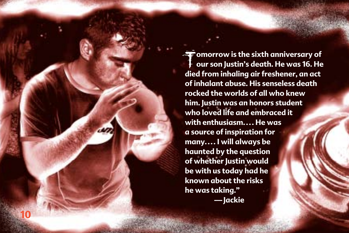T**omorrow is the sixth anniversary of our son Justin's death. He was 16. He died from inhaling air freshener, an act of inhalant abuse. His senseless death rocked the worlds of all who knew him. Justin was an honors student who loved life and embraced it with enthusiasm. . .. He was a source of inspiration for many. . .. I will always be haunted by the question of whether Justin would be with us today had he known about the risks he was taking." —Jackie**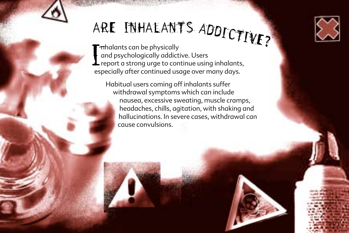

## ARE INHALANT'S ADDICTIVE?<br>Especialists contractically

T mhalants can be physically<br>
and psychologically addictive. Users<br>
report a strong urge to continue using inhalants,<br>
especially after continued usage over many days **Inhalants can be physically** and psychologically addictive. Users especially after continued usage over many days.

Habitual users coming off inhalants suffer withdrawal symptoms which can include nausea, excessive sweating, muscle cramps, headaches, chills, agitation, with shaking and hallucinations. In severe cases, withdrawal can cause convulsions.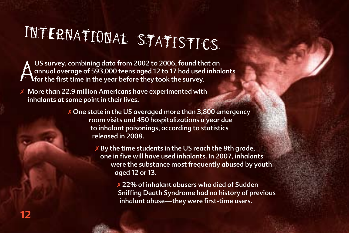# international statistics

A US survey, combining data from 2002 to 2006, found that an annual average of 593,000 teens aged 12 to 17 had used inhalants for the first time in the year before they took the survey.

7 More than 22.9 million Americans have experimented with inhalants at some point in their lives.

> $X$  One state in the US averaged more than 3,800 emergency room visits and 450 hospitalizations a year due to inhalant poisonings, according to statistics released in 2008.

> > $X$  By the time students in the US reach the 8th grade, one in five will have used inhalants. In 2007, inhalants were the substance most frequently abused by youth aged 12 or 13.

> > > $x$  22% of inhalant abusers who died of Sudden Sniffing Death Syndrome had no history of previous inhalant abuse—they were first-time users.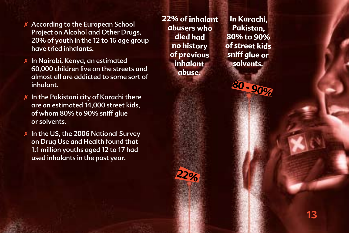- 7 According to the European School Project on Alcohol and Other Drugs, 20% of youth in the 12 to 16 age group have tried inhalants.
- In Nairobi, Kenya, an estimated 60,000 children live on the streets and almost all are addicted to some sort of inhalant.
- $x$  In the Pakistani city of Karachi there are an estimated 14,000 street kids, of whom 80% to 90% sniff glue or solvents.
- $X$  In the US, the 2006 National Survey on Drug Use and Health found that 1.1 million youths aged 12 to 17 had used inhalants in the past year.

**22% of inhalant abusers who died had no history of previous inhalant abuse.**

**22%** 

**In Karachi, Pakistan, 80% to 90% of street kids sniff glue or solvents.**

**80 ‑ 90%**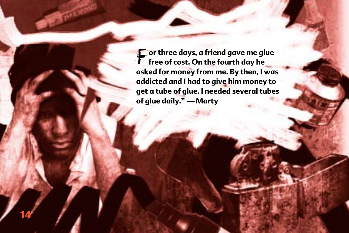F**or three days, a friend gave me glue free of cost. On the fourth day he asked for money from me. By then, I was addicted and I had to give him money to get a tube of glue. I needed several tubes of glue daily." —Marty**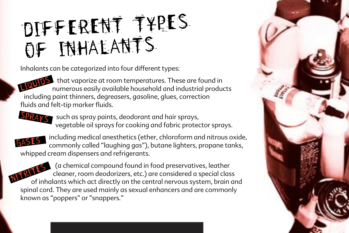### Different types of inhalants

Inhalants can be categorized into four different types:

that vaporize at room temperatures. These are found in numerous easily available household and industrial produ numerous easily available household and industrial products including paint thinners, degreasers, gasoline, glues, correction fluids and felt-tip marker fluids.



SPRAYS such as spray paints, deodorant and hair sprays, vegetable oil sprays for cooking and fabric protector sprays.



GAS.ES. Including medical anesthetics (ether, chloroform and nitrous oxide, GAS.ES. Including medical anassity<br>Commonly called "laughing ags"), butane lighters, propane tanks. commonly called "laughing gas"), butane lighters, propane tanks, whipped cream dispensers and refrigerants.

 (a chemical compound found in food preservatives, leather cleaner, room deodorizers, etc.) are considered a special class of inhalants which act directly on the central nervous system, brain and of inhalants which act directly on the central nervous system, brain and  $\frac{1}{2}$ spinal cord. They are used mainly as sexual enhancers and are commonly known as "poppers" or "snappers."

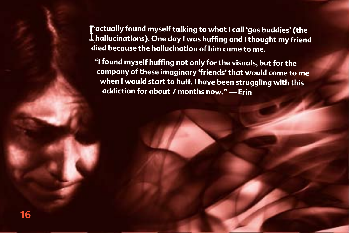**Tactually found myself talking to what I call 'gas buddies' (the<br>Lhallucinations). One day I was huffing and I thought my friend actually found myself talking to what I call 'gas buddies' (the died because the hallucination of him came to me.**

**"I found myself huffing not only for the visuals, but for the company of these imaginary 'friends' that would come to me when I would start to huff. I have been struggling with this addiction for about 7 months now." —Erin**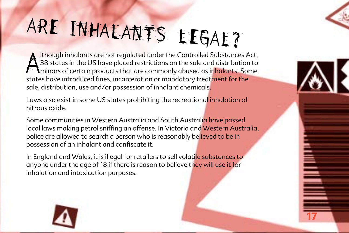# ARE INHALANTS LEGAL?

A states in the US have placed restrictions on the sale and distribution<br>A 38 states in the US have placed restrictions on the sale and distribution<br>states have introduced fines, incarceration or mandatory treatment for th lthough inhalants are not regulated under the Controlled Substances Act, 38 states in the US have placed restrictions on the sale and distribution to **I**minors of certain products that are commonly abused as inhalants. Some sale, distribution, use and/or possession of inhalant chemicals.

Laws also exist in some US states prohibiting the recreational inhalation of nitrous oxide.

Some communities in Western Australia and South Australia have passed local laws making petrol sniffing an offense. In Victoria and Western Australia, police are allowed to search a person who is reasonably believed to be in possession of an inhalant and confiscate it.

**17**

In England and Wales, it is illegal for retailers to sell volatile substances to anyone under the age of 18 if there is reason to believe they will use it for inhalation and intoxication purposes.

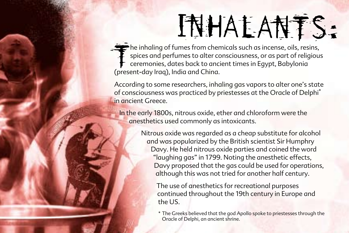# INHALANTS:

The inhaling of fumes from cher<br>spices and perfumes to alter corremonies, dates back to and<br>(present-day Iraq), India and China. he inhaling of fumes from chemicals such as incense, oils, resins, spices and perfumes to alter consciousness, or as part of religious ceremonies, dates back to ancient times in Egypt, Babylonia

According to some researchers, inhaling gas vapors to alter one's state of consciousness was practiced by priestesses at the Oracle of Delphi\* in ancient Greece.

In the early 1800s, nitrous oxide, ether and chloroform were the anesthetics used commonly as intoxicants.

> Nitrous oxide was regarded as a cheap substitute for alcohol and was popularized by the British scientist Sir Humphry Davy. He held nitrous oxide parties and coined the word "laughing gas" in 1799. Noting the anesthetic effects, Davy proposed that the gas could be used for operations, although this was not tried for another half century.

The use of anesthetics for recreational purposes continued throughout the 19th century in Europe and the US.

\* The Greeks believed that the god Apollo spoke to priestesses through the Oracle of Delphi, an ancient shrine.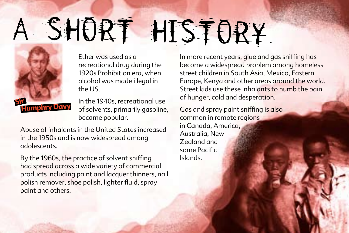# SHORT HISTORY



Ether was used as a recreational drug during the 1920s Prohibition era, when alcohol was made illegal in the US.

In the 1940s, recreational use of solvents, primarily gasoline, became popular.

Abuse of inhalants in the United States increased in the 1950s and is now widespread among adolescents.

By the 1960s, the practice of solvent sniffing had spread across a wide variety of commercial products including paint and lacquer thinners, nail polish remover, shoe polish, lighter fluid, spray paint and others.

In more recent years, glue and gas sniffing has become a widespread problem among homeless street children in South Asia, Mexico, Eastern Europe, Kenya and other areas around the world. Street kids use these inhalants to numb the pain of hunger, cold and desperation.

Gas and spray paint sniffing is also common in remote regions in Canada, America, Australia, New Zealand and some Pacific Islands.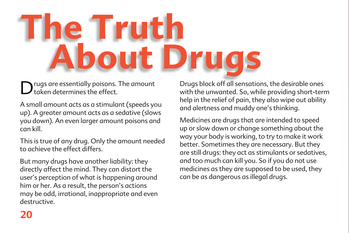# **The Truth About Drugs**

D rugs are essentially poisons. The amount taken determines the effect.

A small amount acts as a stimulant (speeds you up). A greater amount acts as a sedative (slows you down). An even larger amount poisons and can kill.

This is true of any drug. Only the amount needed to achieve the effect differs.

But many drugs have another liability: they directly affect the mind. They can distort the user's perception of what is happening around him or her. As a result, the person's actions may be odd, irrational, inappropriate and even destructive.

Drugs block off all sensations, the desirable ones with the unwanted. So, while providing short-term help in the relief of pain, they also wipe out ability and alertness and muddy one's thinking.

Medicines are drugs that are intended to speed up or slow down or change something about the way your body is working, to try to make it work better. Sometimes they are necessary. But they are still drugs: they act as stimulants or sedatives, and too much can kill you. So if you do not use medicines as they are supposed to be used, they can be as dangerous as illegal drugs.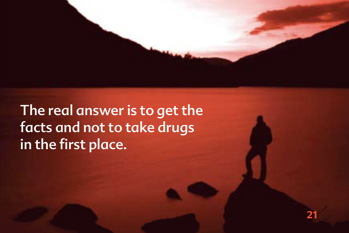The real answer is to get the facts and not to take drugs in the first place.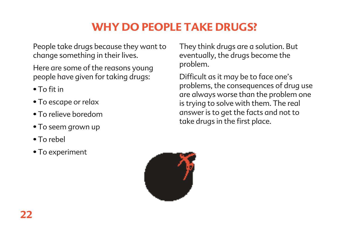### **why do people take drugs?**

People take drugs because they want to change something in their lives.

Here are some of the reasons young people have given for taking drugs:

- To fit in
- To escape or relax
- To relieve boredom
- To seem grown up
- To rebel
- To experiment

They think drugs are a solution. But eventually, the drugs become the problem.

Difficult as it may be to face one's problems, the consequences of drug use are always worse than the problem one is trying to solve with them. The real answer is to get the facts and not to take drugs in the first place.

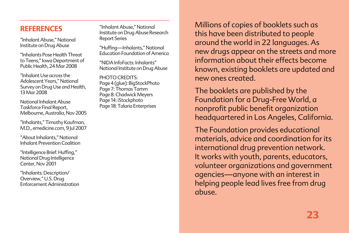#### **REFERENCES**

"Inhalant Abuse," National Institute on Drug Abuse

"Inhalants Pose Health Threat to Teens," Iowa Department of Public Health, 24 Mar 2008

"Inhalant Use across the Adolescent Years," National Survey on Drug Use and Health, 13 Mar 2008

National Inhalant Abuse Taskforce Final Report, Melbourne, Australia, Nov 2005

"Inhalants," Timothy Kaufman, M.D., emedicine.com, 9 Jul 2007

"About Inhalants," National Inhalant Prevention Coalition

"Intelligence Brief: Huffing," National Drug Intelligence Center, Nov 2001

"Inhalants: Description/ Overview," U.S. Drug Enforcement Administration

"Inhalant Abuse," National Institute on Drug Abuse Research Report Series

"Huffing—Inhalants," National Education Foundation of America

"NIDA InfoFacts: Inhalants" National Institute on Drug Abuse

PHOTO CREDITS: Page 4 (glue): BigStockPhoto Page 7: Thomas Tamm Page 8: Chadwick Meyers Page 14: iStockphoto Page 18: Talaria Enterprises

Millions of copies of booklets such as this have been distributed to people around the world in 22 languages. As new drugs appear on the streets and more information about their effects become known, existing booklets are updated and new ones created.

The booklets are published by the Foundation for a Drug‑Free World, a nonprofit public benefit organization headquartered in Los Angeles, California.

The Foundation provides educational materials, advice and coordination for its international drug prevention network. It works with youth, parents, educators, volunteer organizations and government agencies—anyone with an interest in helping people lead lives free from drug abuse.